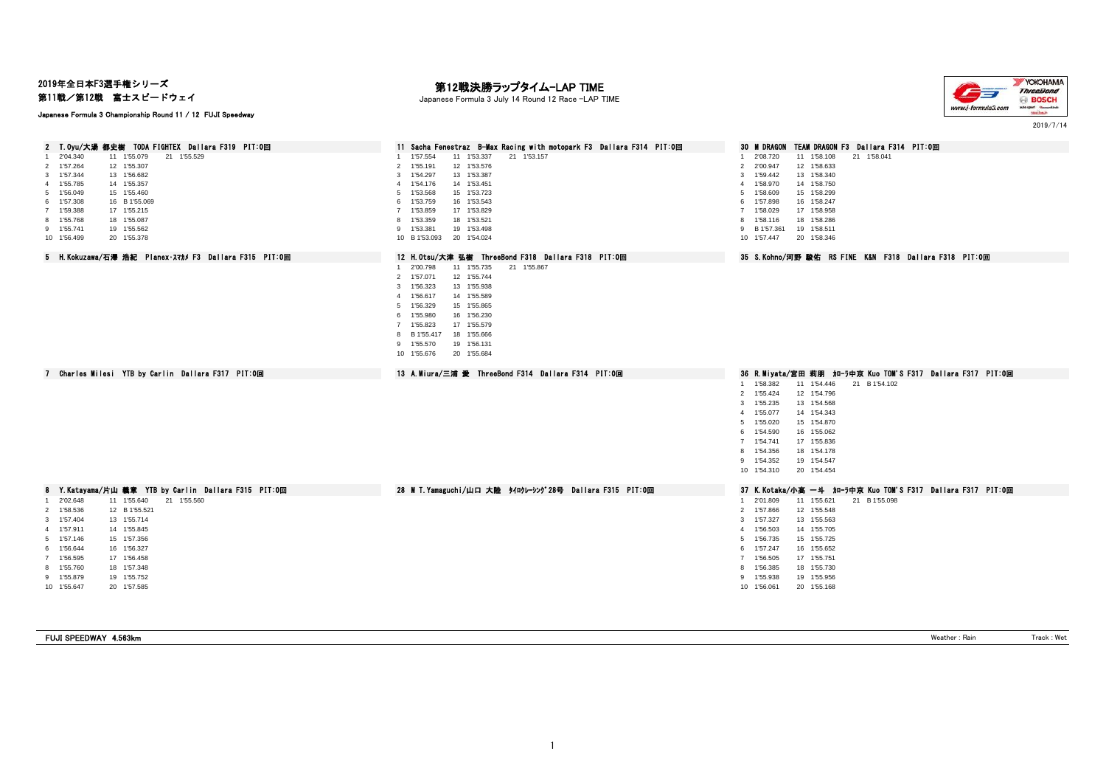2019年全日本F3選手権シリーズ

第11戦/第12戦 富士スピードウェイ

## Japanese Formula 3 Championship Round 11 / 12 FUJI Speedway

# — **第12戦決勝ラップタイム−LAP TIME**<br>Japanese Formula 3 July 14 Round 12 Race −LAP TIME



2019/7/14

| 2 T.Oyu/大湯 都史樹 TODA FIGHTEX Dallara F319 PIT:0回        | 11 Sacha Fenestraz B-Max Racing with motopark F3 Dallara F314 PIT:0回 | <b>30 M DRAGON</b><br>TEAM DRAGON F3 Dallara F314 PIT:0回   |
|--------------------------------------------------------|----------------------------------------------------------------------|------------------------------------------------------------|
| 2'04.340<br>21 1'55.529<br>11 1'55.079                 | 1 1'57.554<br>11 1'53.337<br>21 1'53.157                             | 11 1'58.108<br>21 1'58.041<br>1 2'08.720                   |
| 2 1'57.264<br>12 1'55.307                              | 1'55.191<br>12 1'53.576<br>$\overline{2}$                            | 12 1'58.633<br>2 2'00.947                                  |
| 3 1'57.344<br>13 1'56.682                              | 3 1'54.297<br>13 1'53.387                                            | 13 1'58.340<br>3 1'59.442                                  |
| 4 1'55.785<br>14 1'55.357                              | 1'54.176<br>14 1'53.451<br>$\overline{4}$                            | 4 1'58.970<br>14 1'58.750                                  |
| 5 1'56.049<br>15 1'55.460                              | 5 1'53.568<br>15 1'53.723                                            | 5 1'58.609<br>15 1'58.299                                  |
| 6 1'57.308<br>16 B 1'55.069                            | 16 1'53.543<br>1'53.759<br>6                                         | 6 1'57.898<br>16 1'58.247                                  |
| 7 1'59.388<br>17 1'55.215                              | 1'53.859<br>17 1'53.829<br>$\mathbf{7}$                              | 7 1'58.029<br>17 1'58.958                                  |
| 8 1'55.768<br>18 1'55.087                              | 1'53.359<br>18 1'53.521<br>8                                         | 8 1'58.116<br>18 1'58.286                                  |
| 9 1'55.741<br>19 1'55.562                              | 9 1'53.381<br>19 1'53.498                                            | 9 B 1'57.361<br>19 1'58.511                                |
| 10 1'56.499<br>20 1'55.378                             | 20 1'54.024<br>10 B 1'53.093                                         | 20 1'58.346<br>10 1'57.447                                 |
| 5 H. Kokuzawa/石澤 浩紀 Planex·スマカメ F3 Dallara F315 PIT:0回 | 12 H. Otsu/大津 弘樹 ThreeBond F318 Dallara F318 PIT:0回                  | 35 S.Kohno/河野 駿佑 RS FINE K&N F318 Dallara F318 PIT:0回      |
|                                                        | 11 1'55.735<br>21 1'55.867<br>1 2'00.798                             |                                                            |
|                                                        | 12 1'55.744<br>2 1'57.071                                            |                                                            |
|                                                        | 13 1'55.938<br>3 1'56.323                                            |                                                            |
|                                                        | 4 1'56.617<br>14 1'55.589                                            |                                                            |
|                                                        | 5 1'56.329<br>15 1'55.865                                            |                                                            |
|                                                        |                                                                      |                                                            |
|                                                        | 6 1'55.980<br>16 1'56.230<br>7 1'55.823<br>17 1'55.579               |                                                            |
|                                                        | 8 B 1'55.417                                                         |                                                            |
|                                                        | 18 1'55.666                                                          |                                                            |
|                                                        | 19 1'56.131<br>9 1'55.570                                            |                                                            |
|                                                        | 10 1'55.676<br>20 1'55.684                                           |                                                            |
|                                                        |                                                                      |                                                            |
| 7 Charles Milesi YTB by Carlin Dallara F317 PIT:0回     | 13 A.Miura/三浦 愛 ThreeBond F314 Dallara F314 PIT:0回                   | 36 R.Miyata/宮田 莉朋 加—ラ中京 Kuo TOM'S F317 Dallara F317 PIT:0回 |
|                                                        |                                                                      |                                                            |
|                                                        |                                                                      | 11 1'54.446<br>21 B 1'54.102<br>1 1'58.382<br>2 1'55.424   |
|                                                        |                                                                      | 12 1'54.796                                                |
|                                                        |                                                                      | 3 1'55.235<br>13 1'54.568                                  |
|                                                        |                                                                      | 4 1'55.077<br>14 1'54.343                                  |
|                                                        |                                                                      | 5 1'55.020<br>15 1'54.870                                  |
|                                                        |                                                                      | 6 1'54.590<br>16 1'55.062                                  |
|                                                        |                                                                      | 7 1'54.741<br>17 1'55.836                                  |
|                                                        |                                                                      | 18 1'54.178<br>8 1'54.356                                  |
|                                                        |                                                                      | 9 1'54.352<br>19 1'54.547                                  |
|                                                        |                                                                      | 10 1'54.310<br>20 1'54.454                                 |
| 8 Y.Katayama/片山 義章 YTB by Carlin Dallara F315 PIT:0回   | 28 M T. Yamaguchi/山口 大陸 タイロクレーシング28号 Dallara F315 PIT:0回             | 37 K.Kotaka/小高 一斗 加-ラ中京 Kuo TOM'S F317 Dallara F317 PIT:0回 |
| 1 2'02.648<br>11 1'55.640<br>21 1'55.560               |                                                                      | 1 2'01.809<br>11 1'55.621<br>21 B 1'55.098                 |
| 2 1'58.536<br>12 B 1'55.521                            |                                                                      | 2 1'57.866<br>12 1'55.548                                  |
| 3 1'57.404<br>13 1'55.714                              |                                                                      | 3 1'57.327<br>13 1'55.563                                  |
| 4 1'57.911<br>14 1'55.845                              |                                                                      | 14 1'55.705<br>4 1'56.503                                  |
| 5 1'57.146<br>15 1'57.356                              |                                                                      | 5 1'56.735<br>15 1'55.725                                  |
| 6 1'56.644<br>16 1'56.327                              |                                                                      | 6 1'57.247<br>16 1'55.652                                  |
| 7 1'56.595<br>17 1'56.458                              |                                                                      | 7 1'56.505<br>17 1'55.751                                  |
| 8 1'55.760<br>18 1'57.348                              |                                                                      | 8 1'56.385<br>18 1'55.730                                  |
| 9 1'55.879<br>19 1'55.752                              |                                                                      | 9 1'55.938<br>19 1'55.956                                  |
| 10 1'55.647<br>20 1'57.585                             |                                                                      | 10 1'56.061<br>20 1'55.168                                 |

| FUJI SPEEDWAY 4.563km | Weather<br>: Rai | $M_{\odot}$ +<br>$1$ was also<br> |
|-----------------------|------------------|-----------------------------------|
|                       |                  |                                   |